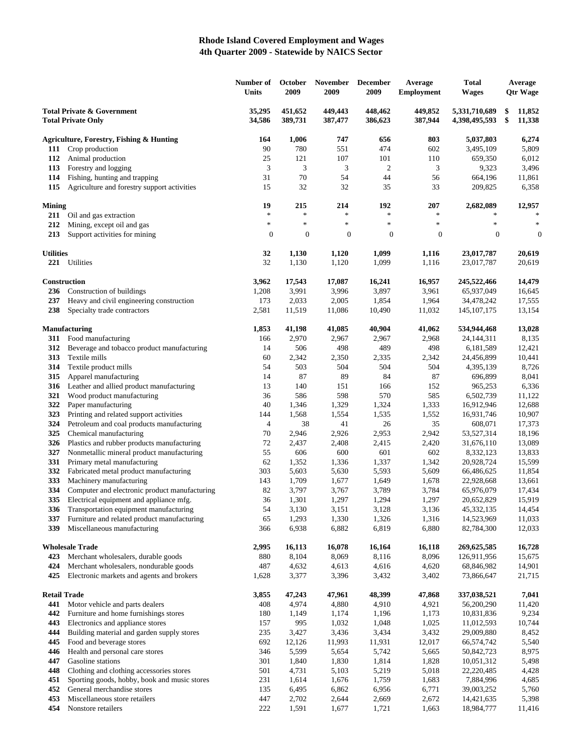## **Rhode Island Covered Employment and Wages 4th Quarter 2009 - Statewide by NAICS Sector**

|                                                         |                                                                                          | Number of<br><b>Units</b> | October<br>2009    | November<br>2009   | <b>December</b><br>2009 | Average<br><b>Employment</b> | <b>Total</b><br><b>Wages</b>   |          | Average<br><b>Qtr Wage</b> |
|---------------------------------------------------------|------------------------------------------------------------------------------------------|---------------------------|--------------------|--------------------|-------------------------|------------------------------|--------------------------------|----------|----------------------------|
| Total Private & Government<br><b>Total Private Only</b> |                                                                                          | 35,295<br>34,586          | 451,652<br>389,731 | 449,443<br>387,477 | 448,462<br>386,623      | 449,852<br>387,944           | 5,331,710,689<br>4,398,495,593 | \$<br>\$ | 11,852<br>11,338           |
|                                                         | <b>Agriculture, Forestry, Fishing &amp; Hunting</b>                                      | 164                       | 1,006              | 747                | 656                     | 803                          | 5,037,803                      |          | 6,274                      |
| 111                                                     | Crop production                                                                          | 90                        | 780                | 551                | 474                     | 602                          | 3,495,109                      |          | 5,809                      |
| 112                                                     | Animal production                                                                        | 25                        | 121                | 107                | 101                     | 110                          | 659,350                        |          | 6,012                      |
| 113                                                     | Forestry and logging                                                                     | 3                         | 3                  | 3                  | $\overline{c}$          | 3                            | 9,323                          |          | 3,496                      |
| 114                                                     | Fishing, hunting and trapping                                                            | 31                        | $70\,$             | 54                 | 44                      | 56                           | 664,196                        |          | 11,861                     |
| 115                                                     | Agriculture and forestry support activities                                              | 15                        | 32                 | 32                 | 35                      | 33                           | 209,825                        |          | 6,358                      |
| <b>Mining</b>                                           |                                                                                          | 19                        | 215                | 214                | 192                     | 207                          | 2,682,089                      |          | 12,957                     |
| 211                                                     | Oil and gas extraction                                                                   | $\ast$<br>*               | $\ast$<br>$\ast$   | $\ast$<br>$\ast$   | $\ast$<br>$\ast$        | $\ast$<br>$\ast$             | $\ast$<br>$\ast$               |          | $\ast$<br>$\ast$           |
| 212<br>213                                              | Mining, except oil and gas<br>Support activities for mining                              | $\boldsymbol{0}$          | $\mathbf{0}$       | $\mathbf{0}$       | $\boldsymbol{0}$        | $\boldsymbol{0}$             | $\mathbf{0}$                   |          | $\boldsymbol{0}$           |
| <b>Utilities</b>                                        |                                                                                          | 32                        | 1,130              | 1,120              | 1,099                   | 1,116                        | 23,017,787                     |          | 20,619                     |
|                                                         | 221 Utilities                                                                            | 32                        | 1,130              | 1,120              | 1,099                   | 1,116                        | 23,017,787                     |          | 20,619                     |
|                                                         | Construction                                                                             | 3,962                     | 17,543             | 17,087             | 16,241                  | 16,957                       | 245,522,466                    |          | 14,479                     |
| 236                                                     | Construction of buildings                                                                | 1,208                     | 3,991              | 3,996              | 3,897                   | 3,961                        | 65,937,049                     |          | 16,645                     |
| 237                                                     | Heavy and civil engineering construction                                                 | 173                       | 2,033              | 2,005              | 1,854                   | 1,964                        | 34,478,242                     |          | 17,555                     |
| 238                                                     | Specialty trade contractors                                                              | 2,581                     | 11,519             | 11,086             | 10,490                  | 11,032                       | 145, 107, 175                  |          | 13,154                     |
|                                                         | <b>Manufacturing</b>                                                                     | 1,853                     | 41,198             | 41,085             | 40,904                  | 41,062                       | 534,944,468                    |          | 13,028                     |
| 311                                                     | Food manufacturing                                                                       | 166                       | 2,970              | 2,967              | 2,967                   | 2,968                        | 24, 144, 311                   |          | 8,135                      |
| 312                                                     | Beverage and tobacco product manufacturing                                               | 14                        | 506                | 498                | 489                     | 498                          | 6,181,589                      |          | 12,421                     |
| 313                                                     | Textile mills                                                                            | 60                        | 2,342              | 2,350              | 2,335                   | 2,342                        | 24,456,899                     |          | 10,441                     |
| 314                                                     | Textile product mills                                                                    | 54                        | 503                | 504                | 504                     | 504                          | 4,395,139                      |          | 8,726                      |
| 315<br>316                                              | Apparel manufacturing                                                                    | 14<br>13                  | 87<br>140          | 89<br>151          | 84                      | 87<br>152                    | 696,899                        |          | 8,041<br>6,336             |
| 321                                                     | Leather and allied product manufacturing<br>Wood product manufacturing                   | 36                        | 586                | 598                | 166<br>570              | 585                          | 965,253<br>6,502,739           |          | 11,122                     |
| 322                                                     | Paper manufacturing                                                                      | 40                        | 1,346              | 1,329              | 1,324                   | 1,333                        | 16,912,946                     |          | 12,688                     |
| 323                                                     | Printing and related support activities                                                  | 144                       | 1,568              | 1,554              | 1,535                   | 1,552                        | 16,931,746                     |          | 10,907                     |
| 324                                                     | Petroleum and coal products manufacturing                                                | 4                         | 38                 | 41                 | 26                      | 35                           | 608,071                        |          | 17,373                     |
| 325                                                     | Chemical manufacturing                                                                   | 70                        | 2,946              | 2,926              | 2,953                   | 2,942                        | 53,527,314                     |          | 18,196                     |
| 326                                                     | Plastics and rubber products manufacturing                                               | 72                        | 2,437              | 2,408              | 2,415                   | 2,420                        | 31,676,110                     |          | 13,089                     |
| 327                                                     | Nonmetallic mineral product manufacturing                                                | 55                        | 606                | 600                | 601                     | 602                          | 8,332,123                      |          | 13,833                     |
| 331                                                     | Primary metal manufacturing                                                              | 62                        | 1,352              | 1,336              | 1,337                   | 1,342                        | 20,928,724                     |          | 15,599                     |
| 332                                                     | Fabricated metal product manufacturing                                                   | 303                       | 5,603              | 5,630              | 5,593                   | 5,609                        | 66,486,625                     |          | 11,854                     |
| 333                                                     | Machinery manufacturing                                                                  | 143                       | 1,709              | 1,677              | 1,649                   | 1,678                        | 22,928,668                     |          | 13,661                     |
| 334<br>335                                              | Computer and electronic product manufacturing<br>Electrical equipment and appliance mfg. | 82<br>36                  | 3,797<br>1,301     | 3,767<br>1,297     | 3,789<br>1,294          | 3,784<br>1,297               | 65,976,079<br>20,652,829       |          | 17,434<br>15,919           |
| 336                                                     | Transportation equipment manufacturing                                                   | 54                        | 3,130              | 3,151              | 3,128                   | 3,136                        | 45,332,135                     |          | 14,454                     |
| 337                                                     | Furniture and related product manufacturing                                              | 65                        | 1,293              | 1,330              | 1,326                   | 1,316                        | 14,523,969                     |          | 11,033                     |
| 339                                                     | Miscellaneous manufacturing                                                              | 366                       | 6,938              | 6,882              | 6,819                   | 6,880                        | 82,784,300                     |          | 12,033                     |
| <b>Wholesale Trade</b>                                  |                                                                                          | 2,995                     | 16,113             | 16,078             | 16,164                  | 16,118                       | 269,625,585                    |          | 16,728                     |
| 423                                                     | Merchant wholesalers, durable goods                                                      | 880                       | 8,104              | 8,069              | 8,116                   | 8,096                        | 126,911,956                    |          | 15,675                     |
| 424                                                     | Merchant wholesalers, nondurable goods                                                   | 487                       | 4,632              | 4,613              | 4,616                   | 4,620                        | 68,846,982                     |          | 14,901                     |
| 425                                                     | Electronic markets and agents and brokers                                                | 1,628                     | 3,377              | 3,396              | 3,432                   | 3,402                        | 73,866,647                     |          | 21,715                     |
| <b>Retail Trade</b>                                     |                                                                                          | 3,855                     | 47,243             | 47,961             | 48,399                  | 47,868                       | 337,038,521                    |          | 7,041                      |
| 441                                                     | Motor vehicle and parts dealers                                                          | 408                       | 4,974              | 4,880              | 4,910                   | 4,921                        | 56,200,290                     |          | 11,420                     |
| 442                                                     | Furniture and home furnishings stores                                                    | 180                       | 1,149              | 1,174              | 1,196                   | 1,173                        | 10,831,836                     |          | 9,234                      |
| 443                                                     | Electronics and appliance stores                                                         | 157                       | 995                | 1,032              | 1,048                   | 1,025                        | 11,012,593                     |          | 10,744                     |
| 444                                                     | Building material and garden supply stores                                               | 235                       | 3,427              | 3,436              | 3,434                   | 3,432                        | 29,009,880                     |          | 8,452                      |
| 445                                                     | Food and beverage stores                                                                 | 692                       | 12,126             | 11,993             | 11,931                  | 12,017                       | 66,574,742                     |          | 5,540                      |
| 446<br>447                                              | Health and personal care stores<br>Gasoline stations                                     | 346<br>301                | 5,599<br>1,840     | 5,654<br>1,830     | 5,742<br>1,814          | 5,665<br>1,828               | 50,842,723<br>10,051,312       |          | 8,975<br>5,498             |
| 448                                                     | Clothing and clothing accessories stores                                                 | 501                       | 4,731              | 5,103              | 5,219                   | 5,018                        | 22,220,485                     |          | 4,428                      |
| 451                                                     | Sporting goods, hobby, book and music stores                                             | 231                       | 1,614              | 1,676              | 1,759                   | 1,683                        | 7,884,996                      |          | 4,685                      |
| 452                                                     | General merchandise stores                                                               | 135                       | 6,495              | 6,862              | 6,956                   | 6,771                        | 39,003,252                     |          | 5,760                      |
| 453                                                     | Miscellaneous store retailers                                                            | 447                       | 2,702              | 2,644              | 2,669                   | 2,672                        | 14,421,635                     |          | 5,398                      |
| 454                                                     | Nonstore retailers                                                                       | 222                       | 1,591              | 1,677              | 1,721                   | 1,663                        | 18,984,777                     |          | 11,416                     |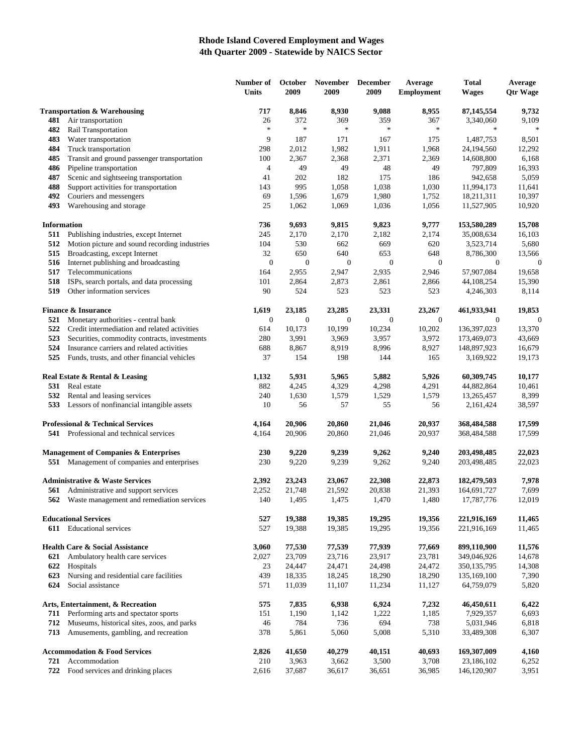## **Rhode Island Covered Employment and Wages 4th Quarter 2009 - Statewide by NAICS Sector**

|                                         |                                                  | Number of<br><b>Units</b> | October<br>2009  | <b>November</b><br>2009 | <b>December</b><br>2009 | Average<br><b>Employment</b> | <b>Total</b><br><b>Wages</b> | Average<br><b>Otr Wage</b> |
|-----------------------------------------|--------------------------------------------------|---------------------------|------------------|-------------------------|-------------------------|------------------------------|------------------------------|----------------------------|
| <b>Transportation &amp; Warehousing</b> |                                                  | 717                       | 8,846            | 8,930                   | 9,088                   | 8,955                        | 87, 145, 554                 | 9,732                      |
| 481                                     | Air transportation                               | 26                        | 372              | 369                     | 359                     | 367                          | 3,340,060                    | 9,109                      |
| 482                                     | Rail Transportation                              | $\ast$                    | $\ast$           | $\ast$                  | *                       | $\ast$                       | $\ast$                       | $\ast$                     |
| 483                                     | Water transportation                             | 9                         | 187              | 171                     | 167                     | 175                          | 1,487,753                    | 8,501                      |
| 484                                     | Truck transportation                             | 298                       | 2,012            | 1,982                   | 1,911                   | 1,968                        | 24,194,560                   | 12,292                     |
| 485                                     | Transit and ground passenger transportation      | 100                       | 2,367            | 2,368                   | 2,371                   | 2,369                        | 14,608,800                   | 6,168                      |
| 486                                     | Pipeline transportation                          | $\overline{4}$            | 49               | 49                      | 48                      | 49                           | 797,809                      | 16,393                     |
| 487                                     | Scenic and sightseeing transportation            | 41                        | 202              | 182                     | 175                     | 186                          | 942,658                      | 5,059                      |
| 488                                     | Support activities for transportation            | 143                       | 995              | 1,058                   | 1,038                   | 1,030                        | 11,994,173                   | 11,641                     |
| 492                                     | Couriers and messengers                          | 69                        | 1,596            | 1,679                   | 1,980                   | 1,752                        | 18,211,311                   | 10,397                     |
| 493                                     | Warehousing and storage                          | 25                        | 1,062            | 1,069                   | 1,036                   | 1,056                        | 11,527,905                   | 10,920                     |
| <b>Information</b>                      |                                                  | 736                       | 9,693            | 9,815                   | 9,823                   | 9,777                        | 153,580,289                  | 15,708                     |
| 511                                     | Publishing industries, except Internet           | 245                       | 2,170            | 2,170                   | 2,182                   | 2,174                        | 35,008,634                   | 16,103                     |
| 512                                     | Motion picture and sound recording industries    | 104                       | 530              | 662                     | 669                     | 620                          | 3,523,714                    | 5,680                      |
| 515                                     | Broadcasting, except Internet                    | 32                        | 650              | 640                     | 653                     | 648                          | 8,786,300                    | 13,566                     |
| 516                                     | Internet publishing and broadcasting             | $\boldsymbol{0}$          | $\mathbf{0}$     | $\boldsymbol{0}$        | $\boldsymbol{0}$        | $\boldsymbol{0}$             | $\mathbf{0}$                 | $\mathbf 0$                |
| 517                                     | Telecommunications                               | 164                       | 2,955            | 2,947                   | 2,935                   | 2,946                        | 57,907,084                   | 19,658                     |
| 518                                     | ISPs, search portals, and data processing        | 101                       | 2,864            | 2,873                   | 2,861                   | 2,866                        | 44,108,254                   | 15,390                     |
| 519                                     | Other information services                       | 90                        | 524              | 523                     | 523                     | 523                          | 4,246,303                    | 8,114                      |
|                                         | <b>Finance &amp; Insurance</b>                   | 1,619                     | 23,185           | 23,285                  | 23,331                  | 23,267                       | 461,933,941                  | 19,853                     |
| 521                                     | Monetary authorities - central bank              | $\boldsymbol{0}$          | $\boldsymbol{0}$ | $\boldsymbol{0}$        | $\boldsymbol{0}$        | $\boldsymbol{0}$             | $\mathbf{0}$                 | $\mathbf 0$                |
| 522                                     | Credit intermediation and related activities     | 614                       | 10,173           | 10,199                  | 10,234                  | 10,202                       | 136,397,023                  | 13,370                     |
| 523                                     | Securities, commodity contracts, investments     | 280                       | 3,991            | 3,969                   | 3,957                   | 3,972                        | 173,469,073                  | 43,669                     |
| 524                                     | Insurance carriers and related activities        | 688                       | 8,867            | 8,919                   | 8,996                   | 8,927                        | 148,897,923                  | 16,679                     |
| 525                                     | Funds, trusts, and other financial vehicles      | 37                        | 154              | 198                     | 144                     | 165                          | 3,169,922                    | 19,173                     |
|                                         | Real Estate & Rental & Leasing                   | 1,132                     | 5,931            | 5,965                   | 5,882                   | 5,926                        | 60,309,745                   | 10,177                     |
| 531                                     | Real estate                                      | 882                       | 4,245            | 4,329                   | 4,298                   | 4,291                        | 44,882,864                   | 10,461                     |
| 532                                     | Rental and leasing services                      | 240                       | 1,630            | 1,579                   | 1,529                   | 1,579                        | 13,265,457                   | 8,399                      |
| 533                                     | Lessors of nonfinancial intangible assets        | 10                        | 56               | 57                      | 55                      | 56                           | 2,161,424                    | 38,597                     |
|                                         | <b>Professional &amp; Technical Services</b>     | 4,164                     | 20,906           | 20,860                  | 21,046                  | 20,937                       | 368,484,588                  | 17,599                     |
|                                         | <b>541</b> Professional and technical services   | 4,164                     | 20,906           | 20,860                  | 21,046                  | 20,937                       | 368,484,588                  | 17,599                     |
|                                         | <b>Management of Companies &amp; Enterprises</b> | 230                       | 9,220            | 9,239                   | 9,262                   | 9,240                        | 203,498,485                  | 22,023                     |
|                                         | 551 Management of companies and enterprises      | 230                       | 9,220            | 9,239                   | 9,262                   | 9,240                        | 203,498,485                  | 22,023                     |
|                                         | <b>Administrative &amp; Waste Services</b>       | 2,392                     | 23,243           | 23,067                  | 22,308                  | 22,873                       | 182,479,503                  | 7,978                      |
| 561                                     | Administrative and support services              | 2,252                     | 21,748           | 21,592                  | 20,838                  | 21,393                       | 164,691,727                  | 7,699                      |
| 562                                     | Waste management and remediation services        | 140                       | 1,495            | 1,475                   | 1,470                   | 1,480                        | 17,787,776                   | 12,019                     |
|                                         | <b>Educational Services</b>                      | 527                       | 19,388           | 19,385                  | 19,295                  | 19,356                       | 221,916,169                  | 11,465                     |
|                                         | 611 Educational services                         | 527                       | 19,388           | 19,385                  | 19,295                  | 19,356                       | 221,916,169                  | 11,465                     |
|                                         |                                                  |                           |                  |                         |                         |                              |                              |                            |
|                                         | <b>Health Care &amp; Social Assistance</b>       | 3,060                     | 77,530           | 77,539                  | 77,939                  | 77,669                       | 899,110,900                  | 11,576                     |
| 621                                     | Ambulatory health care services                  | 2,027                     | 23,709           | 23,716                  | 23,917                  | 23,781                       | 349,046,926                  | 14,678                     |
| 622                                     | Hospitals                                        | 23                        | 24,447           | 24,471                  | 24,498                  | 24,472                       | 350, 135, 795                | 14,308                     |
| 623                                     | Nursing and residential care facilities          | 439                       | 18,335           | 18,245                  | 18,290                  | 18,290                       | 135,169,100                  | 7,390                      |
| 624                                     | Social assistance                                | 571                       | 11,039           | 11,107                  | 11,234                  | 11,127                       | 64,759,079                   | 5,820                      |
|                                         | Arts, Entertainment, & Recreation                | 575                       | 7,835            | 6,938                   | 6,924                   | 7,232                        | 46,450,611                   | 6,422                      |
| 711                                     | Performing arts and spectator sports             | 151                       | 1,190            | 1,142                   | 1,222                   | 1,185                        | 7,929,357                    | 6,693                      |
| 712                                     | Museums, historical sites, zoos, and parks       | 46                        | 784              | 736                     | 694                     | 738                          | 5,031,946                    | 6,818                      |
| 713                                     | Amusements, gambling, and recreation             | 378                       | 5,861            | 5,060                   | 5,008                   | 5,310                        | 33,489,308                   | 6,307                      |
|                                         | <b>Accommodation &amp; Food Services</b>         | 2,826                     | 41,650           | 40,279                  | 40,151                  | 40,693                       | 169,307,009                  | 4,160                      |
| 721                                     | Accommodation                                    | 210                       | 3,963            | 3,662                   | 3,500                   | 3,708                        | 23,186,102                   | 6,252                      |
| 722                                     | Food services and drinking places                | 2,616                     | 37,687           | 36,617                  | 36,651                  | 36,985                       | 146,120,907                  | 3,951                      |